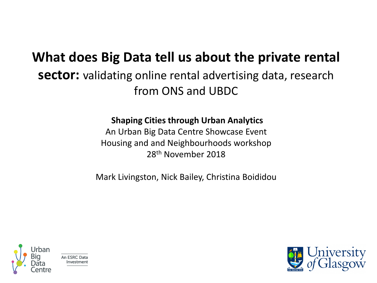### **What does Big Data tell us about the private rental sector:** validating online rental advertising data, research from ONS and UBDC

### **Shaping Cities through Urban Analytics**

An Urban Big Data Centre Showcase Event Housing and and Neighbourhoods workshop 28th November 2018

Mark Livingston, Nick Bailey, Christina Boididou



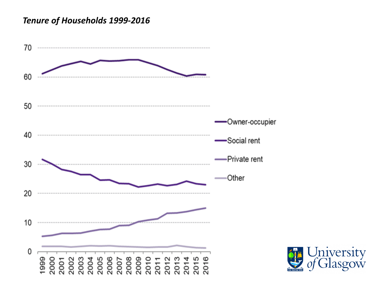#### *Tenure of Households 1999-2016*



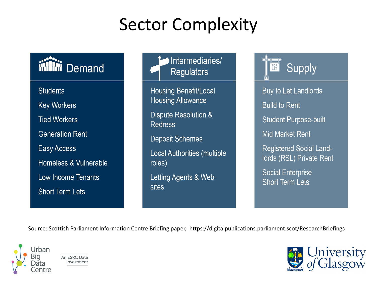### **Sector Complexity**

### iiitii Demand

**Students Key Workers Tied Workers Generation Rent** Easy Access Homeless & Vulnerable Low Income Tenants **Short Term Lets** 

### Intermediaries/ **Regulators**

**Housing Benefit/Local Housing Allowance** 

Dispute Resolution & **Redress** 

**Deposit Schemes** 

**Local Authorities (multiple** roles)

Letting Agents & Websites

Supply FOR<sup>T</sup>

Buy to Let Landlords **Build to Rent Student Purpose-built Mid Market Rent Registered Social Land**lords (RSL) Private Rent

**Social Enterprise Short Term Lets** 

Source: Scottish Parliament Information Centre Briefing paper, https://digitalpublications.parliament.scot/ResearchBriefings



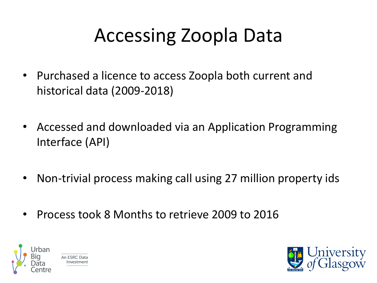# Accessing Zoopla Data

- Purchased a licence to access Zoopla both current and historical data (2009-2018)
- Accessed and downloaded via an Application Programming Interface (API)
- Non-trivial process making call using 27 million property ids
- Process took 8 Months to retrieve 2009 to 2016



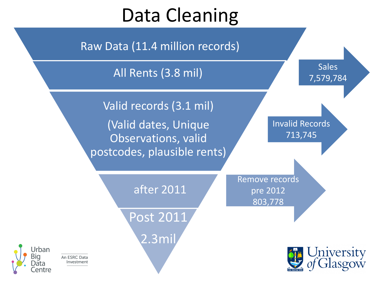# Data Cleaning

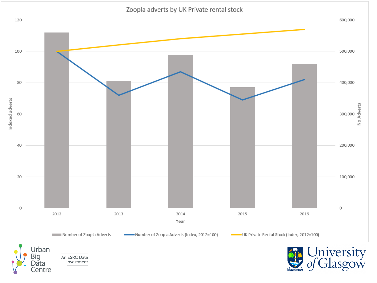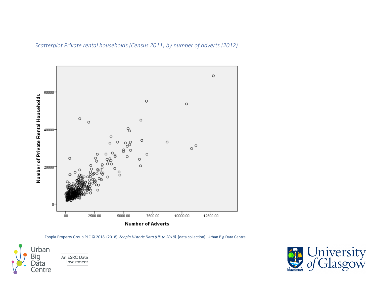*Scatterplot Private rental households (Census 2011) by number of adverts (2012)*



Zoopla Property Group PLC © 2018. (2018). *Zoopla Historic Data (UK to 2018)*. [data collection]. Urban Big Data Centre



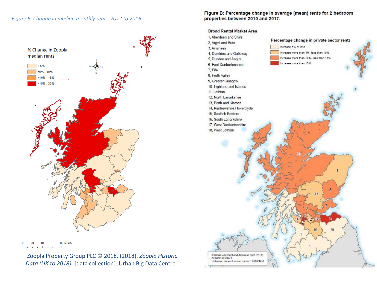#### *Figure 6: Change in median monthly rent - 2012 to 2016*



80 Miles

Zoopla Property Group PLC © 2018. (2018). *Zoopla Historic Data (UK to 2018)*. [data collection]. Urban Big Data Centre

Figure B: Percentage change in average (mean) rents for 2 bedroom properties between 2010 and 2017.

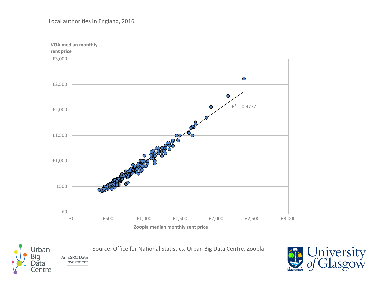**VOA median monthly rent price** £3,000  $\bullet$ £2,500  $\bigcirc$  $R^2 = 0.9777$  $\bullet$ £2,000 £1,500 £1,000 £500 QÆ £0 £0 £500 £1,000 £1,500 £2,000 £2,500 £3,000 **Zoopla median monthly rent price** 

Source: Office for National Statistics, Urban Big Data Centre, Zoopla



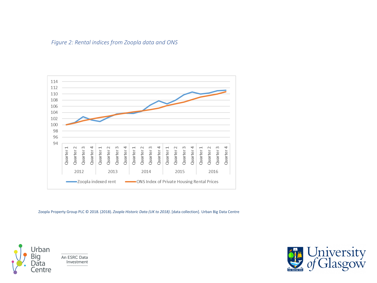



Zoopla Property Group PLC © 2018. (2018). *Zoopla Historic Data (UK to 2018)*. [data collection]. Urban Big Data Centre



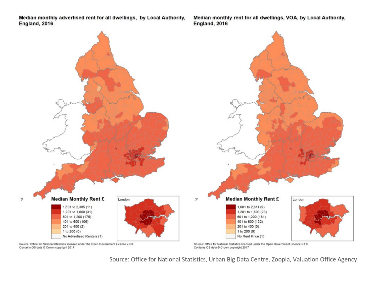Median monthly advertised rent for all dwellings, by Local Authority, England, 2016

芝

Median monthly rent for all dwellings, VOA, by Local Authority, England, 2016



Source: Office for National Statistics, Urban Big Data Centre, Zoopla, Valuation Office Agency